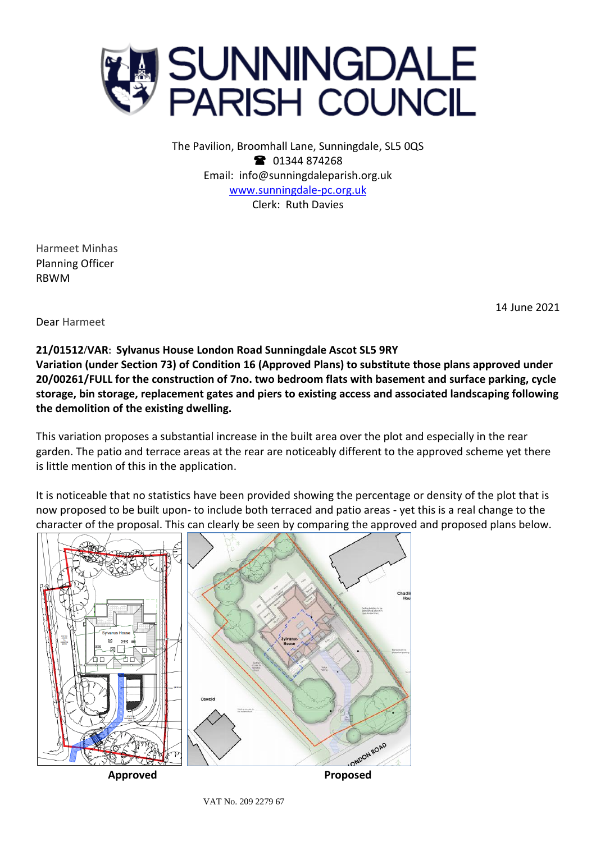

The Pavilion, Broomhall Lane, Sunningdale, SL5 0QS <sup>2</sup> 01344 874268 Email: info@sunningdaleparish.org.uk [www.sunningdale-pc.org.uk](http://www.sunningdale-pc.org.uk/) Clerk: Ruth Davies

Harmeet Minhas Planning Officer RBWM

14 June 2021

Dear Harmeet

## **21/01512/VAR: Sylvanus House London Road Sunningdale Ascot SL5 9RY**

**Variation (under Section 73) of Condition 16 (Approved Plans) to substitute those plans approved under 20/00261/FULL for the construction of 7no. two bedroom flats with basement and surface parking, cycle storage, bin storage, replacement gates and piers to existing access and associated landscaping following the demolition of the existing dwelling.**

This variation proposes a substantial increase in the built area over the plot and especially in the rear garden. The patio and terrace areas at the rear are noticeably different to the approved scheme yet there is little mention of this in the application.

It is noticeable that no statistics have been provided showing the percentage or density of the plot that is now proposed to be built upon- to include both terraced and patio areas - yet this is a real change to the character of the proposal. This can clearly be seen by comparing the approved and proposed plans below.